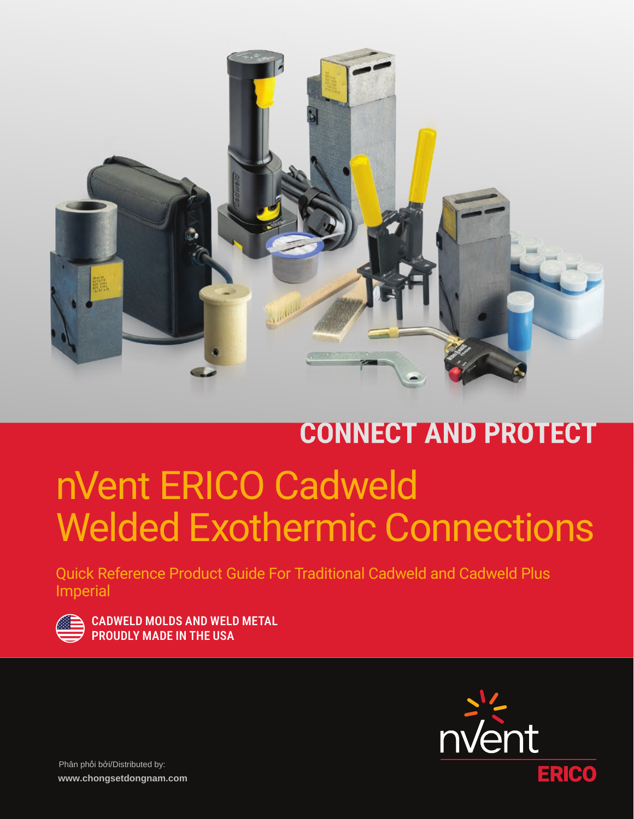

# **CONNECT AND PROTECT** nVent ERICO Cadweld Welded Exothermic Connections

Quick Reference Product Guide For Traditional Cadweld and Cadweld Plus Imperial

|                        | <b>Service Service</b><br><b>Contract Contract Contract Contract Contract Contract Contract Contract Contract Contract Contract Contract C</b> |
|------------------------|------------------------------------------------------------------------------------------------------------------------------------------------|
| <b>Service Service</b> |                                                                                                                                                |

CADWELD MOLDS AND WELD METAL PROUDLY MADE IN THE USA

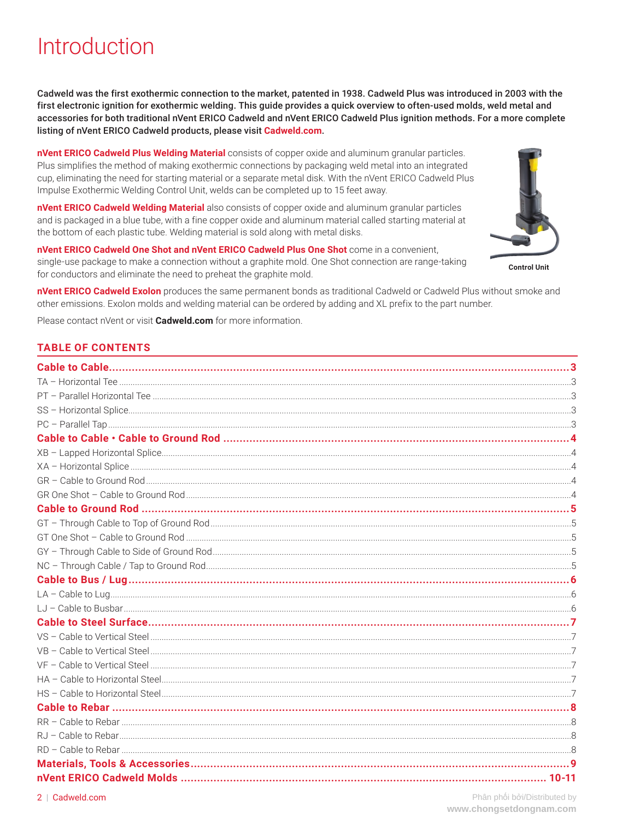### Introduction

Cadweld was the first exothermic connection to the market, patented in 1938. Cadweld Plus was introduced in 2003 with the first electronic ignition for exothermic welding. This guide provides a quick overview to often-used molds, weld metal and accessories for both traditional nVent ERICO Cadweld and nVent ERICO Cadweld Plus ignition methods. For a more complete listing of nVent ERICO Cadweld products, please visit Cadweld.com.

nVent ERICO Cadweld Plus Welding Material consists of copper oxide and aluminum granular particles. Plus simplifies the method of making exothermic connections by packaging weld metal into an integrated cup, eliminating the need for starting material or a separate metal disk. With the nVent ERICO Cadweld Plus Impulse Exothermic Welding Control Unit, welds can be completed up to 15 feet away.

nVent ERICO Cadweld Welding Material also consists of copper oxide and aluminum granular particles and is packaged in a blue tube, with a fine copper oxide and aluminum material called starting material at the bottom of each plastic tube. Welding material is sold along with metal disks.

nVent ERICO Cadweld One Shot and nVent ERICO Cadweld Plus One Shot come in a convenient, single-use package to make a connection without a graphite mold. One Shot connection are range-taking for conductors and eliminate the need to preheat the graphite mold.

**Control Unit** 

nVent ERICO Cadweld Exolon produces the same permanent bonds as traditional Cadweld or Cadweld Plus without smoke and other emissions. Exolon molds and welding material can be ordered by adding and XL prefix to the part number.

Please contact nVent or visit **Cadweld.com** for more information.

#### **TABLE OF CONTENTS**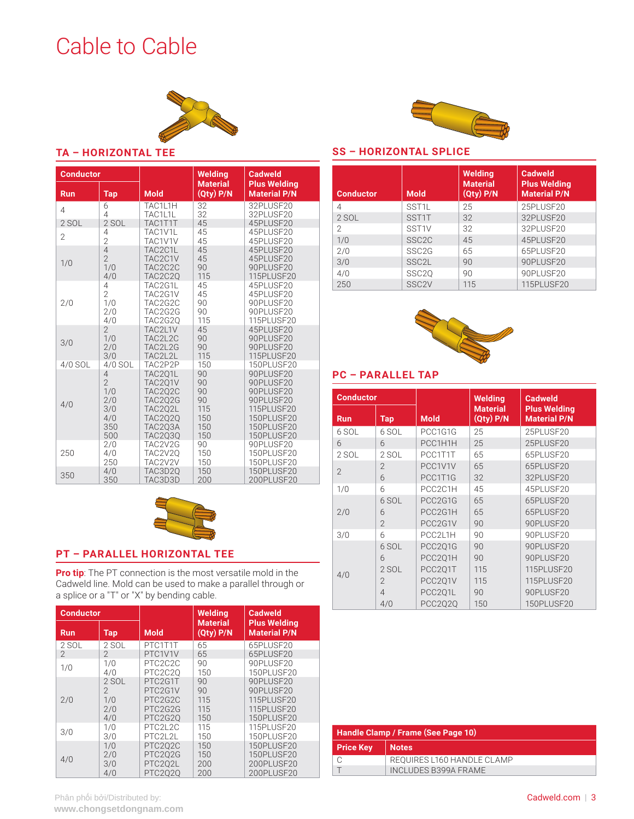### <span id="page-2-0"></span>Cable to Cable



#### **TA – HORIZONTAL TEE**

| <b>Conductor</b> |                |                | <b>Welding</b>                   | <b>Cadweld</b>                             |
|------------------|----------------|----------------|----------------------------------|--------------------------------------------|
| <b>Run</b>       | <b>Tap</b>     | <b>Mold</b>    | <b>Material</b><br>$(Qty)$ $P/N$ | <b>Plus Welding</b><br><b>Material P/N</b> |
| $\overline{4}$   | 6              | TAC1L1H        | 32                               | 32PLUSF20                                  |
|                  | 4              | TAC1L1L        | 32                               | 32PLUSF20                                  |
| 2 SOL            | 2 SOL          | TAC1T1T        | 45                               | 45PLUSF20                                  |
| $\overline{2}$   | 4              | TAC1V1L        | 45                               | 45PLUSF20                                  |
|                  | $\overline{2}$ | TAC1V1V        | 45                               | 45PLUSF20                                  |
| 1/0              | $\overline{4}$ | TAC2C1L        | 45                               | 45PLUSF20                                  |
|                  | $\overline{2}$ | TAC2C1V        | 45                               | 45PLUSF20                                  |
|                  | 1/0            | TAC2C2C        | 90                               | 90PLUSE20                                  |
|                  | 4/0            | TAC2C2Q        | 115                              | 115PLUSF20                                 |
| 2/0              | 4              | TAC2G1L        | 45                               | 45PLUSF20                                  |
|                  | $\overline{2}$ | TAC2G1V        | 45                               | 45PLUSF20                                  |
|                  | 1/0            | TAC2G2C        | 90                               | 90PLUSF20                                  |
|                  | 2/0            | TAC2G2G        | 90                               | 90PLUSF20                                  |
|                  | 4/0            | <b>TAC2G2Q</b> | 115                              | 115PLUSF20                                 |
| 3/0              | $\overline{2}$ | TAC2L1V        | 45                               | 45PLUSF20                                  |
|                  | 1/0            | TAC2L2C        | 90                               | 90PLUSF20                                  |
|                  | 2/0            | TAC2L2G        | 90                               | 90PLUSF20                                  |
|                  | 3/0            | TAC2L2L        | 115                              | 115PLUSF20                                 |
| 4/0 SOL          | 4/0 SOL        | TAC2P2P        | 150                              | 150PLUSF20                                 |
| 4/0              | 4              | TAC2Q1L        | 90                               | 90PLUSE20                                  |
|                  | $\overline{2}$ | TAC2Q1V        | 90                               | 90PLUSF20                                  |
|                  | 1/0            | TAC2Q2C        | 90                               | 90PLUSF20                                  |
|                  | 2/0            | <b>TAC2Q2G</b> | 90                               | 90PLUSF20                                  |
|                  | 3/0            | TAC2Q2L        | 115                              | 115PLUSF20                                 |
|                  | 4/0            | <b>TAC2020</b> | 150                              | 150PLUSF20                                 |
|                  | 350            | TAC203A        | 150                              | 150PLUSF20                                 |
|                  | 500            | <b>TAC2Q3Q</b> | 150                              | 150PLUSF20                                 |
| 250              | 2/0            | TAC2V2G        | 90                               | 90PLUSF20                                  |
|                  | 4/0            | TAC2V2Q        | 150                              | 150PLUSF20                                 |
|                  | 250            | TAC2V2V        | 150                              | 150PLUSF20                                 |
| 350              | 4/0            | TAC3D2Q        | 150                              | 150PLUSF20                                 |
|                  | 350            | TAC3D3D        | 200                              | 200PLUSF20                                 |



### **PT – PARALLEL HORIZONTAL TEE**

**Pro tip**: The PT connection is the most versatile mold in the Cadweld line. Mold can be used to make a parallel through or a splice or a "T" or "X" by bending cable.

| <b>Conductor</b>         |                |                | Welding                          | <b>Cadweld</b>                             |
|--------------------------|----------------|----------------|----------------------------------|--------------------------------------------|
| <b>Run</b>               | <b>Tap</b>     | <b>Mold</b>    | <b>Material</b><br>$(Qty)$ $P/N$ | <b>Plus Welding</b><br><b>Material P/N</b> |
| 2 SOL                    | 2 SOL          | PTC1T1T        | 65                               | 65PLUSF20                                  |
| $\overline{\phantom{0}}$ | 2              | PTC1V1V        | 65                               | 65PLUSF20                                  |
| 1/0                      | 1/0            | PTC2C2C        | 90                               | 90PLUSF20                                  |
|                          | 4/0            | PTC2C20        | 150                              | 150PLUSF20                                 |
|                          | 2 SOL          | PTC2G1T        | 90                               | 90PLUSF20                                  |
|                          | $\mathfrak{D}$ | PTC2G1V        | 90                               | 90PLUSF20                                  |
| 2/0                      | 1/0            | PTC2G2C        | 115                              | 115PLUSE20                                 |
|                          | 2/0            | PTC2G2G        | 115                              | 115PLUSF20                                 |
|                          | 4/0            | PTC2G20        | 150                              | <b>150PLUSF20</b>                          |
| 3/0                      | 1/0            | <b>PTC2L2C</b> | 115                              | 115PLUSF20                                 |
|                          | 3/0            | <b>PTC2L2L</b> | 150                              | 150PLUSE20                                 |
|                          | 1/0            | <b>PTC202C</b> | 150                              | 150PLUSE20                                 |
|                          | 2/0            | PTC2Q2G        | 150                              | 150PLUSF20                                 |
| 4/0                      | 3/0            | PTC2Q2L        | 200                              | 200PLUSF20                                 |
|                          | 4/0            | PTC2Q2Q        | 200                              | 200PLUSF20                                 |



#### **SS – HORIZONTAL SPLICE**

| <b>Conductor</b> | <b>Mold</b>        | Welding<br><b>Material</b><br>$(Qty)$ $P/N$ | <b>Cadweld</b><br><b>Plus Welding</b><br><b>Material P/N</b> |
|------------------|--------------------|---------------------------------------------|--------------------------------------------------------------|
| 4                | SST <sub>1</sub> L | 25                                          | 25PLUSE20                                                    |
| 2 SOL            | SST1T              | 32                                          | 32PLUSF20                                                    |
| 2                | SST <sub>1V</sub>  | 32                                          | 32PLUSE20                                                    |
| 1/0              | SSC <sub>2C</sub>  | 45                                          | 45PLUSF20                                                    |
| 2/0              | SSC <sub>2G</sub>  | 65                                          | 65PLUSF20                                                    |
| 3/0              | SSC <sub>2</sub> L | 90                                          | 90PLUSF20                                                    |
| 4/0              | SSC <sub>20</sub>  | 90                                          | 90PLUSE20                                                    |
| 250              | SSC <sub>2V</sub>  | 115                                         | 115PLUSF20                                                   |



### **PC – PARALLEL TAP**

| <b>Conductor</b> |                |                | <b>Welding</b>                   | <b>Cadweld</b>                             |
|------------------|----------------|----------------|----------------------------------|--------------------------------------------|
| <b>Run</b>       | Tap            | <b>Mold</b>    | <b>Material</b><br>$(Qty)$ $P/N$ | <b>Plus Welding</b><br><b>Material P/N</b> |
| 6 SOL            | 6 SOL          | PCC1G1G        | 25                               | 25PLUSF20                                  |
| 6                | 6              | PCC1H1H        | 25                               | 25PLUSF20                                  |
| 2 SOL            | 2 SOL          | PCC1T1T        | 65                               | 65PLUSE20                                  |
| $\mathfrak{D}$   | $\mathfrak{D}$ | PCC1V1V        | 65                               | 65PLUSF20                                  |
|                  | 6              | PCC1T1G        | 32                               | 32PLUSF20                                  |
| 1/0              | 6              | PCC2C1H        | 45                               | 45PLUSE20                                  |
|                  | 6 SOL          | PCC2G1G        | 65                               | 65PLUSF20                                  |
| 2/0              | 6              | PCC2G1H        | 65                               | 65PLUSF20                                  |
|                  | $\mathfrak{D}$ | PCC2G1V        | 90                               | 90PLUSF20                                  |
| 3/0              | 6              | PCC2L1H        | 90                               | 90PLUSE20                                  |
|                  | 6 SOL          | <b>PCC201G</b> | 90                               | 90PLUSE20                                  |
|                  | 6              | PCC2Q1H        | 90                               | 90PLUSF20                                  |
| 4/0              | $2$ SOL        | PCC2Q1T        | 115                              | 115PLUSF20                                 |
|                  | $\mathfrak{D}$ | PCC2Q1V        | 115                              | 115PLUSF20                                 |
|                  | 4              | PCC2Q1L        | 90                               | 90PLUSF20                                  |
|                  | 4/0            | <b>PCC2Q2Q</b> | 150                              | 150PLUSF20                                 |

| Handle Clamp / Frame (See Page 10) |                            |  |  |
|------------------------------------|----------------------------|--|--|
| <b>Price Key</b>                   | <b>Notes</b>               |  |  |
|                                    | REQUIRES L160 HANDLE CLAMP |  |  |
|                                    | INCLUDES B399A FRAME       |  |  |

Phân phối bởi/Distributed by: **www.chongsetdongnam.com**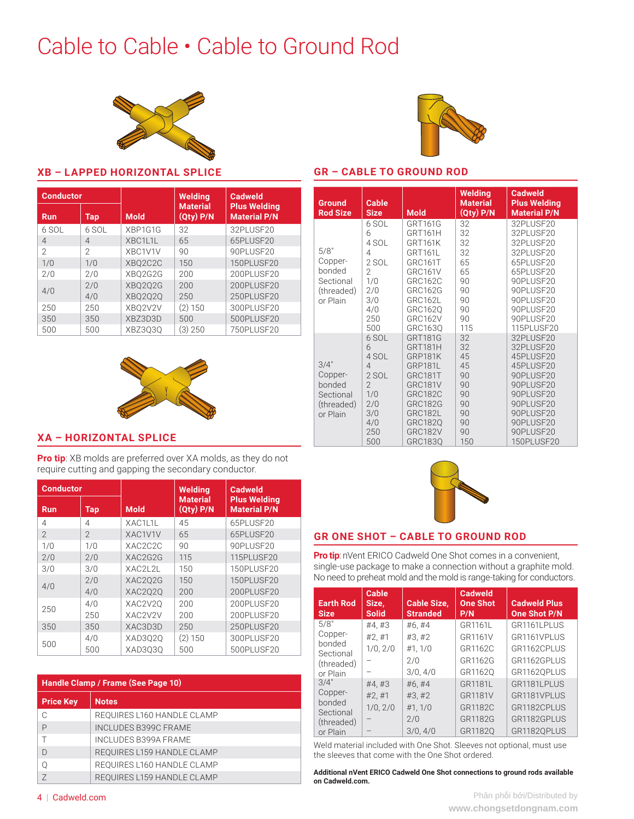### <span id="page-3-0"></span>Cable to Cable • Cable to Ground Rod





**Welding Material (Qty) P/N**

**Cadweld Plus Welding Material P/N**

**GR – CABLE TO GROUND ROD**

**Size Mold**

**Cable** 

**Ground Rod Size**

#### **XB – LAPPED HORIZONTAL SPLICE**

| <b>Conductor</b> |            |                | <b>Welding</b>                   | <b>Cadweld</b>                             |
|------------------|------------|----------------|----------------------------------|--------------------------------------------|
| <b>Run</b>       | <b>Tap</b> | <b>Mold</b>    | <b>Material</b><br>$(Qty)$ $P/N$ | <b>Plus Welding</b><br><b>Material P/N</b> |
| 6 SOL            | 6 SOL      | XBP1G1G        | 32                               | 32PLUSF20                                  |
| $\overline{4}$   | 4          | XBC1L1L        | 65                               | 65PLUSE20                                  |
| $\mathfrak{D}$   | 2          | XBC1V1V        | 90                               | 90PLUSF20                                  |
| 1/0              | 1/0        | XBO2C2C        | 150                              | 150PLUSF20                                 |
| 2/0              | 2/0        | XBO2G2G        | 200                              | 200PLUSF20                                 |
| 4/0              | 2/0        | <b>XBO2O2G</b> | 200                              | 200PLUSE20                                 |
|                  | 4/0        | XBQ2Q2Q        | 250                              | 250PLUSF20                                 |
| 250              | 250        | XBO2V2V        | (2) 150                          | 300PLUSF20                                 |
| 350              | 350        | XBZ3D3D        | 500                              | 500PLUSF20                                 |
| 500              | 500        | XBZ3030        | (3) 250                          | 750PLUSF20                                 |



#### 5/8" Copperbonded Sectional (threaded) or Plain 6 SOL GRT161G 32 32PLUSF20 32 PLUSE 20 4 SOL GRT161K 32 32PLUSF20 4 GRT161L 32 32PLUSF20<br>2 SOL GRC161T 65 65PLUSF20 2 SOL GRC161T 65 65PLUSF20<br>2 GRC161V 65 65PLUSF20 2 GRC161V 65 65PLUSF20<br>1/0 GRC162C 90 90PLUSF20 90 90PLUSF20<br>1/0 90PLUSF20 2/0 GRC162G 90 90PLUSF20<br>3/0 GRC162L 90 90PLUSF20 3/0 GRC162L 90 90PLUSF20<br>4/0 GRC1620 90 90PLUSF20 4/0 GRC162Q 90 90PLUSF20<br>250 GRC162V 90 90PLUSF20 250 GRC162V 90 90PLUSF20<br>500 GRC1630 115 115PLUSF20 500 GRC163Q 115 115PLUSF20 3/4" Copperbonded Sectional (threaded) or Plain 6 GRT181G 32 32PLUSF20<br>6 GRT181H 32 32PLUSF20 6 GRT181H 32 32PLUSF20 4 SOL GRP181K 45 45PLUSF20<br>4 GRP181L 45 45PLUSF20 4 GRP181L 45 45PLUSF20<br>2 SOL GRC181T 90 90PLUSF20 2 SOL GRC181T 90 90PLUSF20<br>2 GRC181V 90 90PLUSF20 2 GRC181V 90 90PLUSF20<br>1/0 GRC182C 90 90PLUSF20 1/0 GRC182C 90 90PLUSF20<br>2/0 GRC182G 90 90PLUSF20 2/0 GRC182G 90 90PLUSF20<br>3/0 GRC182L 90 90PLUSF20 90 90PLUSF20 4/0 GRC182Q 90 90PLUSF20<br>250 GRC182V 90 90PLUSF20 250 GRC182V 90 90PLUSF20<br>500 GRC183Q 150 150PLUSF20 150 PLUSF20

#### **XA – HORIZONTAL SPLICE**

**Pro tip**: XB molds are preferred over XA molds, as they do not require cutting and gapping the secondary conductor.

| <b>Conductor</b> |                |                                   | <b>Welding</b>                   | <b>Cadweld</b>                             |
|------------------|----------------|-----------------------------------|----------------------------------|--------------------------------------------|
| <b>Run</b>       | Tap            | <b>Mold</b>                       | <b>Material</b><br>$(Qty)$ $P/N$ | <b>Plus Welding</b><br><b>Material P/N</b> |
| 4                | 4              | XAC1L1L                           | 45                               | 65PLUSF20                                  |
| $\mathfrak{D}$   | $\mathfrak{D}$ | XAC1V1V                           | 65                               | 65PLUSF20                                  |
| 1/0              | 1/0            | XAC <sub>2</sub> C <sub>2</sub> C | 90                               | 90PLUSF20                                  |
| 2/0              | 2/0            | XAC2G2G                           | 115                              | 115PLUSF20                                 |
| 3/0              | 3/0            | XAC2L2L                           | 150                              | 150PLUSF20                                 |
|                  | 2/0            | XAC202G                           | 150                              | 150PLUSF20                                 |
| 4/0              | 4/0            | XAC2020                           | 200                              | 200PLUSF20                                 |
| 250              | 4/0            | XAC2V20                           | 200                              | 200PLUSE20                                 |
|                  | 250            | XAC2V2V                           | 200                              | 200PLUSF20                                 |
| 350              | 350            | XAC3D3D                           | 250                              | 250PLUSF20                                 |
|                  | 4/0            | XAD3Q2Q                           | (2) 150                          | 300PLUSF20                                 |
| 500              | 500            | XAD3030                           | 500                              | 500PLUSF20                                 |

| Handle Clamp / Frame (See Page 10) |                             |  |  |
|------------------------------------|-----------------------------|--|--|
| <b>Price Key</b>                   | <b>Notes</b>                |  |  |
| C                                  | REQUIRES L160 HANDLE CLAMP  |  |  |
| P                                  | <b>INCLUDES B399C FRAME</b> |  |  |
|                                    | <b>INCLUDES B399A FRAME</b> |  |  |
| D                                  | REQUIRES L159 HANDLE CLAMP  |  |  |
| Ω                                  | REQUIRES L160 HANDLE CLAMP  |  |  |
| 7                                  | REQUIRES L159 HANDLE CLAMP  |  |  |



#### **GR ONE SHOT – CABLE TO GROUND ROD**

**Pro tip**: nVent ERICO Cadweld One Shot comes in a convenient, single-use package to make a connection without a graphite mold. No need to preheat mold and the mold is range-taking for conductors.

| <b>Earth Rod</b><br><b>Size</b> | <b>Cable</b><br>Size,<br><b>Solid</b> | <b>Cable Size,</b><br><b>Stranded</b> | <b>Cadweld</b><br><b>One Shot</b><br>P/N | <b>Cadweld Plus</b><br><b>One Shot P/N</b> |
|---------------------------------|---------------------------------------|---------------------------------------|------------------------------------------|--------------------------------------------|
| 5/8"                            | #4.#3                                 | #6,#4                                 | GR1161L                                  | GR1161LPLUS                                |
| Copper-                         | #2, #1                                | #3, #2                                | GR1161V                                  | GR1161VPLUS                                |
| bonded<br>Sectional             | 1/0, 2/0                              | #1, 1/0                               | GR1162C                                  | GR1162CPLUS                                |
| (threaded)                      |                                       | 2/0                                   | GR1162G                                  | GR1162GPLUS                                |
| or Plain                        |                                       | 3/0, 4/0                              | GR11620                                  | GR1162QPLUS                                |
| 3/4"                            | #4.#3                                 | #6.#4                                 | GR1181L                                  | GR1181LPLUS                                |
| Copper-                         | #2, #1                                | #3, #2                                | GR1181V                                  | GR1181VPLUS                                |
| bonded<br>Sectional             | 1/0, 2/0                              | #1, 1/0                               | GR1182C                                  | GR1182CPLUS                                |
| (threaded)                      |                                       | 2/0                                   | GR1182G                                  | GR1182GPLUS                                |
| or Plain                        |                                       | 3/0, 4/0                              | GR11820                                  | GR11820PLUS                                |

Weld material included with One Shot. Sleeves not optional, must use the sleeves that come with the One Shot ordered.

**Additional nVent ERICO Cadweld One Shot connections to ground rods available on [Cadweld.com](http://Cadweld.com).**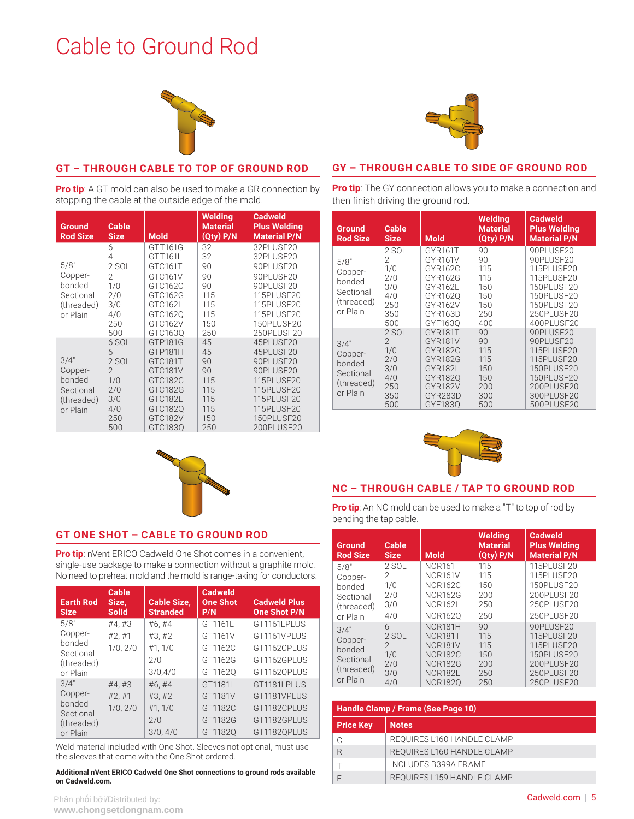### <span id="page-4-0"></span>Cable to Ground Rod





#### **GT – THROUGH CABLE TO TOP OF GROUND ROD**

**Pro tip**: A GT mold can also be used to make a GR connection by stopping the cable at the outside edge of the mold.

| <b>Ground</b><br><b>Rod Size</b>                                 | <b>Cable</b><br><b>Size</b>                                                     | <b>Mold</b>                                                                                                | Welding<br><b>Material</b><br>$(Qty)$ $P/N$                    | <b>Cadweld</b><br><b>Plus Welding</b><br><b>Material P/N</b>                                                                         |
|------------------------------------------------------------------|---------------------------------------------------------------------------------|------------------------------------------------------------------------------------------------------------|----------------------------------------------------------------|--------------------------------------------------------------------------------------------------------------------------------------|
| 5/8"<br>Copper-<br>bonded<br>Sectional<br>(threaded)<br>or Plain | 6<br>4<br>2 SOL<br>2<br>1/0<br>2/0<br>3/0<br>4/0<br>250<br>500                  | GTT161G<br>GTT161L<br>GTC161T<br>GTC161V<br>GTC162C<br>GTC162G<br>GTC162L<br>GTC162Q<br>GTC162V<br>GTC163Q | 32<br>32<br>90<br>90<br>90<br>115<br>115<br>115<br>150<br>250  | 32PLUSE20<br>32PLUSE20<br>90PLUSF20<br>90PLUSF20<br>90PLUSF20<br>115PLUSF20<br>115PLUSF20<br>115PLUSF20<br>150PLUSF20<br>250PLUSF20  |
| 3/4"<br>Copper-<br>bonded<br>Sectional<br>(threaded)<br>or Plain | 6 SOL<br>6<br>2 SOL<br>$\overline{2}$<br>1/0<br>2/0<br>3/0<br>4/0<br>250<br>500 | GTP181G<br>GTP181H<br>GTC181T<br>GTC181V<br>GTC182C<br>GTC182G<br>GTC182L<br>GTC182Q<br>GTC182V<br>GTC1830 | 45<br>45<br>90<br>90<br>115<br>115<br>115<br>115<br>150<br>250 | 45PLUSF20<br>45PLUSF20<br>90PLUSF20<br>90PLUSF20<br>115PLUSF20<br>115PLUSF20<br>115PLUSF20<br>115PLUSF20<br>150PLUSF20<br>200PLUSF20 |

### **GY – THROUGH CABLE TO SIDE OF GROUND ROD**

**Pro tip**: The GY connection allows you to make a connection and then finish driving the ground rod.

| <b>Ground</b><br><b>Rod Size</b>                                 | Cable<br><b>Size</b>                                                    | <b>Mold</b>                                                                                                                 | Welding<br><b>Material</b><br>$(Qty)$ $P/N$               | Cadweld<br><b>Plus Welding</b><br><b>Material P/N</b>                                                                    |
|------------------------------------------------------------------|-------------------------------------------------------------------------|-----------------------------------------------------------------------------------------------------------------------------|-----------------------------------------------------------|--------------------------------------------------------------------------------------------------------------------------|
| 5/8"<br>Copper-<br>bonded<br>Sectional<br>(threaded)<br>or Plain | 2 SOL<br>2<br>1/0<br>2/0<br>3/0<br>4/0<br>250<br>350<br>500             | GYR <sub>161</sub> T<br><b>GYR161V</b><br>GYR162C<br>GYR162G<br>GYR162L<br>GYR1620<br>GYR162V<br>GYR163D<br>GYF1630         | 90<br>90<br>115<br>115<br>150<br>150<br>150<br>250<br>400 | 90PLUSF20<br>90PLUSF20<br>115PLUSE20<br>115PLUSE20<br>150PLUSE20<br>150PLUSF20<br>150PLUSF20<br>250PLUSE20<br>400PLUSE20 |
| 3/4"<br>Copper-<br>bonded<br>Sectional<br>(threaded)<br>or Plain | 2 SOL<br>$\mathcal{P}$<br>1/0<br>2/0<br>3/0<br>4/0<br>250<br>350<br>500 | GYR181T<br>GYR181V<br><b>GYR182C</b><br><b>GYR182G</b><br><b>GYR182L</b><br>GYR1820<br><b>GYR182V</b><br>GYR283D<br>GYF1830 | 90<br>90<br>115<br>115<br>150<br>150<br>200<br>300<br>500 | 90PLUSF20<br>90PLUSF20<br>115PLUSF20<br>115PLUSF20<br>150PLUSF20<br>150PLUSF20<br>200PLUSF20<br>300PLUSE20<br>500PLUSF20 |





#### **NC – THROUGH CABLE / TAP TO GROUND ROD**

**Pro tip**: An NC mold can be used to make a "T" to top of rod by bending the tap cable.

| Ground<br><b>Rod Size</b>                                        | Cable<br><b>Size</b>                          | <b>Mold</b>                                                                                    | Welding<br><b>Material</b><br>(Qtv) P/N      | <b>Cadweld</b><br><b>Plus Welding</b><br><b>Material P/N</b>                                  |
|------------------------------------------------------------------|-----------------------------------------------|------------------------------------------------------------------------------------------------|----------------------------------------------|-----------------------------------------------------------------------------------------------|
| 5/8"<br>Copper-<br>bonded<br>Sectional<br>(threaded)<br>or Plain | 2 SOL<br>2<br>1/0<br>2/0<br>3/0<br>4/0        | NCR161T<br>NCR161V<br><b>NCR162C</b><br><b>NCR162G</b><br><b>NCR162L</b><br><b>NCR1620</b>     | 115<br>115<br>150<br>200<br>250<br>250       | 115PLUSE20<br>115PLUSE20<br>150PLUSE20<br>200PLUSE20<br>250PLUSF20<br>250PLUSF20              |
| 3/4"<br>Copper-<br>bonded<br>Sectional<br>(threaded)<br>or Plain | 6<br>$2$ SOL<br>2<br>1/0<br>2/0<br>3/0<br>4/0 | NCR181H<br>NCR181T<br>NCR181V<br><b>NCR182C</b><br><b>NCR182G</b><br>NCR182L<br><b>NCR1820</b> | 90<br>115<br>115<br>150<br>200<br>250<br>250 | 90PLUSF20<br>115PLUSF20<br>115PLUSF20<br>150PLUSF20<br>200PLUSF20<br>250PLUSF20<br>250PLUSF20 |

| Handle Clamp / Frame (See Page 10) |                            |  |  |  |
|------------------------------------|----------------------------|--|--|--|
| <b>Price Key</b><br><b>Notes</b>   |                            |  |  |  |
| C                                  | REQUIRES L160 HANDLE CLAMP |  |  |  |
|                                    | REQUIRES L160 HANDLE CLAMP |  |  |  |
|                                    | INCLUDES B399A FRAME       |  |  |  |
|                                    | REQUIRES L159 HANDLE CLAMP |  |  |  |

#### **GT ONE SHOT – CABLE TO GROUND ROD**

**Pro tip:** nVent ERICO Cadweld One Shot comes in a convenient, single-use package to make a connection without a graphite mold. No need to preheat mold and the mold is range-taking for conductors.

| <b>Earth Rod</b><br><b>Size</b> | Cable<br>Size.<br><b>Solid</b> | <b>Cable Size,</b><br><b>Stranded</b> | <b>Cadweld</b><br><b>One Shot</b><br>P/N | <b>Cadweld Plus</b><br><b>One Shot P/N</b> |
|---------------------------------|--------------------------------|---------------------------------------|------------------------------------------|--------------------------------------------|
| 5/8"                            | #4, #3                         | #6,#4                                 | GT1161L                                  | GT1161LPLUS                                |
| Copper-                         | #2, #1                         | #3.#2                                 | GT1161V                                  | GT1161VPLUS                                |
| bonded<br>Sectional             | 1/0, 2/0                       | #1, 1/0                               | GT1162C                                  | GT1162CPLUS                                |
| (threaded)                      |                                | 2/0                                   | GT1162G                                  | GT1162GPLUS                                |
| or Plain                        |                                | 3/0,4/0                               | GT11620                                  | GT1162QPLUS                                |
| 3/4"                            | #4.#3                          | #6.#4                                 | GT1181L                                  | GT1181LPLUS                                |
| Copper-                         | #2, #1                         | #3, #2                                | GT1181V                                  | GT1181VPLUS                                |
| bonded<br>Sectional             | 1/0, 2/0                       | #1, 1/0                               | GT1182C                                  | GT1182CPLUS                                |
| (threaded)                      |                                | 2/0                                   | GT1182G                                  | GT1182GPLUS                                |
| or Plain                        |                                | 3/0, 4/0                              | GT11820                                  | GT11820PLUS                                |

Weld material included with One Shot. Sleeves not optional, must use the sleeves that come with the One Shot ordered.

#### Additional nVent ERICO Cadweld One Shot connections to ground rods available **on [Cadweld.com](http://Cadweld.com).**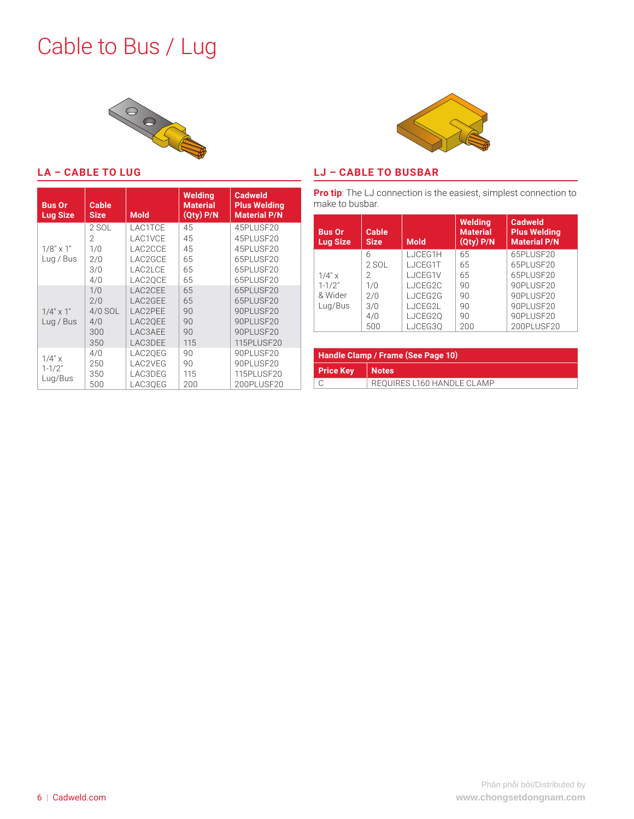### <span id="page-5-0"></span>Cable to Bus / Lug





**LJ – CABLE TO BUSBAR**

| <b>Bus Or</b><br><b>Lug Size</b> | <b>Cable</b><br><b>Size</b> | <b>Mold</b> | Welding<br><b>Material</b><br>$(Qty)$ $P/N$ | <b>Cadweld</b><br><b>Plus Welding</b><br><b>Material P/N</b> |
|----------------------------------|-----------------------------|-------------|---------------------------------------------|--------------------------------------------------------------|
|                                  | 2 SOL                       | LAC1TCE     | 45                                          | 45PLUSF20                                                    |
|                                  | 2                           | LAC1VCE     | 45                                          | 45PLUSF20                                                    |
| $1/8" \times 1"$                 | 1/0                         | LAC2CCE     | 45                                          | 45PLUSF20                                                    |
| Lug / Bus                        | 2/0                         | LAC2GCE     | 65                                          | 65PLUSF20                                                    |
|                                  | 3/0                         | LAC2LCE     | 65                                          | 65PLUSF20                                                    |
|                                  | 4/0                         | LAC2OCE     | 65                                          | 65PLUSF20                                                    |
|                                  | 1/0                         | LAC2CEE     | 65                                          | 65PLUSF20                                                    |
|                                  | 2/0                         | LAC2GEE     | 65                                          | 65PLUSF20                                                    |
| $1/4$ " $\times$ 1"              | 4/0 SOL                     | LAC2PEE     | 90                                          | 90PLUSF20                                                    |
| Lug / Bus                        | 4/0                         | LAC20EE     | 90                                          | 90PLUSF20                                                    |
|                                  | 300                         | LAC3AEE     | 90                                          | 90PLUSF20                                                    |
|                                  | 350                         | LAC3DEE     | 115                                         | 115PLUSF20                                                   |
|                                  | 4/0                         | LAC2QEG     | 90                                          | 90PLUSF20                                                    |
| $1/4"$ x                         | 250                         | LAC2VEG     | 90                                          | 90PLUSF20                                                    |
| $1 - 1/2"$                       | 350                         | LAC3DEG     | 115                                         | 115PLUSF20                                                   |
| Lug/Bus                          | 500                         | LAC30EG     | 200                                         | 200PLUSF20                                                   |

**Pro tip**: The LJ connection is the easiest, simplest connection to make to busbar.

| <b>Bus Or</b><br><b>Lug Size</b> | Cable<br><b>Size</b> | <b>Mold</b> | <b>Welding</b><br><b>Material</b><br>$(Qty)$ $P/N$ | Cadweld<br><b>Plus Welding</b><br><b>Material P/N</b> |
|----------------------------------|----------------------|-------------|----------------------------------------------------|-------------------------------------------------------|
|                                  | 6                    | LJCEG1H     | 65                                                 | 65PLUSF20                                             |
|                                  | 2 SOL                | LJCEG1T     | 65                                                 | 65PLUSE20                                             |
| $1/4"$ x                         | 2                    | LJCEG1V     | 65                                                 | 65PLUSF20                                             |
| $1 - 1/2"$                       | 1/0                  | LJCEG2C     | 90                                                 | 90PLUSE20                                             |
| & Wider                          | 2/0                  | LJCEG2G     | 90                                                 | 90PLUSF20                                             |
| Lug/Bus                          | 3/0                  | LJCEG2L     | 90                                                 | 90PLUSE20                                             |
|                                  | 4/0                  | LJCEG2Q     | 90                                                 | 90PLUSF20                                             |
|                                  | 500                  | LJCEG30     | 200                                                | 200PLUSF20                                            |

|                             | Handle Clamp / Frame (See Page 10) |  |  |
|-----------------------------|------------------------------------|--|--|
| <b>Price Key</b><br>  Notes |                                    |  |  |
|                             | REQUIRES L160 HANDLE CLAMP         |  |  |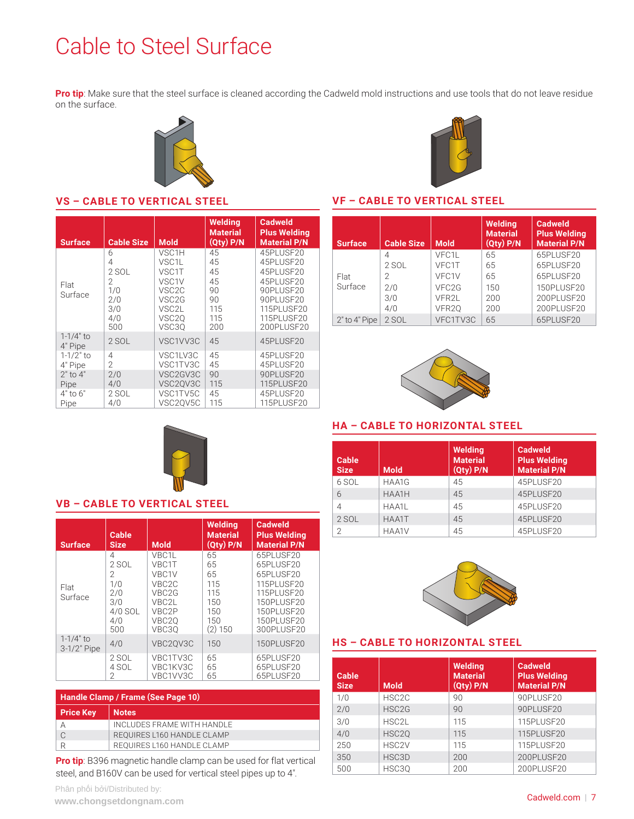## <span id="page-6-0"></span>Cable to Steel Surface

**Pro tip**: Make sure that the steel surface is cleaned according the Cadweld mold instructions and use tools that do not leave residue on the surface.



#### **VS – CABLE TO VERTICAL STEEL**

| <b>Surface</b>                                    | <b>Cable Size</b>                                       | <b>Mold</b>                                                                                                                                                           | Welding<br><b>Material</b><br>$\overline{Qty}$ P/N    | Cadweld<br><b>Plus Welding</b><br><b>Material P/N</b>                                                                |
|---------------------------------------------------|---------------------------------------------------------|-----------------------------------------------------------------------------------------------------------------------------------------------------------------------|-------------------------------------------------------|----------------------------------------------------------------------------------------------------------------------|
| Flat<br>Surface                                   | 6<br>4<br>2 SOL<br>2<br>1/0<br>2/0<br>3/0<br>4/0<br>500 | VSC <sub>1</sub> H<br>VSC <sub>1</sub> L<br>VSC <sub>1</sub> T<br>VSC <sub>1</sub> V<br>VSC <sub>2C</sub><br>VSC <sub>2G</sub><br>VSC2L<br>VSC <sub>20</sub><br>VSC3Q | 45<br>45<br>45<br>45<br>90<br>90<br>115<br>115<br>200 | 45PLUSF20<br>45PLUSF20<br>45PLUSF20<br>45PLUSF20<br>90PLUSF20<br>90PLUSF20<br>115PLUSE20<br>115PLUSF20<br>200PLUSE20 |
| $1 - 1/4"$ to<br>4" Pipe                          | $2$ SOL                                                 | VSC1VV3C                                                                                                                                                              | 45                                                    | 45PLUSF20                                                                                                            |
| $1 - 1/2$ " to<br>4" Pipe<br>$2"$ to $4"$<br>Pipe | 4<br>$\mathfrak{D}$<br>2/0<br>4/0                       | VSC1LV3C<br>VSC1TV3C<br>VSC2GV3C<br>VSC2QV3C                                                                                                                          | 45<br>45<br>90<br>115                                 | 45PLUSF20<br>45PLUSF20<br>90PLUSF20<br>115PLUSF20                                                                    |
| 4" to 6"<br>Pipe                                  | 2 SOL<br>4/0                                            | VSC1TV5C<br>VSC2QV5C                                                                                                                                                  | 45<br>115                                             | 45PLUSF20<br>115PLUSE20                                                                                              |

#### **VF – CABLE TO VERTICAL STEEL**

| <b>Surface</b>    | <b>Cable Size</b> | <b>Mold</b>       | <b>Welding</b><br><b>Material</b><br>(Qty) P/N | <b>Cadweld</b><br><b>Plus Welding</b><br><b>Material P/N</b> |
|-------------------|-------------------|-------------------|------------------------------------------------|--------------------------------------------------------------|
|                   | 4                 | VFC1L             | 65                                             | 65PLUSE20                                                    |
|                   | 2 SOL             | VFC1T             | 65                                             | 65PLUSE20                                                    |
| Flat              | 2                 | VFC1V             | 65                                             | 65PLUSF20                                                    |
| Surface           | 2/0               | VFC <sub>2G</sub> | 150                                            | 150PLUSF20                                                   |
|                   | 3/0               | VFR2L             | 200                                            | 200PLUSF20                                                   |
|                   | 4/0               | VFR <sub>20</sub> | 200                                            | 200PLUSF20                                                   |
| $2"$ to $4"$ Pipe | 2 SOL             | VFC1TV3C          | 65                                             | 65PLUSF20                                                    |



#### **HA – CABLE TO HORIZONTAL STEEL**

| <b>Cable</b><br><b>Size</b> | <b>Mold</b> | Welding<br><b>Material</b><br>$(Qty)$ P/N | Cadweld<br><b>Plus Welding</b><br><b>Material P/N</b> |
|-----------------------------|-------------|-------------------------------------------|-------------------------------------------------------|
| 6 SOL                       | HAA1G       | 45                                        | 45PLUSF20                                             |
| 6                           | HAA1H       | 45                                        | 45PLUSF20                                             |
| 4                           | HAA1L       | 45                                        | 45PLUSF20                                             |
| $2$ SOL                     | HAA1T       | 45                                        | 45PLUSF20                                             |
| 2                           | HAA1V       | 45                                        | 45PLUSF20                                             |



#### **HS – CABLE TO HORIZONTAL STEEL**

| Cable<br><b>Size</b> | <b>Mold</b>        | <b>Welding</b><br><b>Material</b><br>$(Qty)$ $P/N$ | <b>Cadweld</b><br><b>Plus Welding</b><br><b>Material P/N</b> |
|----------------------|--------------------|----------------------------------------------------|--------------------------------------------------------------|
| 1/0                  | HSC <sub>2C</sub>  | 90                                                 | 90PLUSF20                                                    |
| 2/0                  | HSC <sub>2G</sub>  | 90                                                 | 90PLUSE20                                                    |
| 3/0                  | HSC2L              | 115                                                | 115PLUSF20                                                   |
| 4/0                  | HSC <sub>20</sub>  | 115                                                | 115PLUSE20                                                   |
| 250                  | HSC <sub>2</sub> V | 115                                                | 115PLUSF20                                                   |
| 350                  | HSC3D              | 200                                                | 200PLUSF20                                                   |
| 500                  | HSC3Q              | 200                                                | 200PLUSF20                                                   |



#### **VB – CABLE TO VERTICAL STEEL**

| <b>Surface</b>               | Cable<br><b>Size</b>                                          | <b>Mold</b>                                                                                                        | Welding<br><b>Material</b><br>$(Qty)$ $P/N$                  | <b>Cadweld</b><br><b>Plus Welding</b><br><b>Material P/N</b>                                                            |
|------------------------------|---------------------------------------------------------------|--------------------------------------------------------------------------------------------------------------------|--------------------------------------------------------------|-------------------------------------------------------------------------------------------------------------------------|
| Flat<br>Surface              | 4<br>2 SOL<br>2<br>1/0<br>2/0<br>3/0<br>4/0 SOL<br>4/0<br>500 | VBC <sub>1</sub> L<br>VBC1T<br>VBC1V<br>VBC <sub>2C</sub><br>VBC <sub>2G</sub><br>VBC2L<br>VBC2P<br>VBC2Q<br>VBC30 | 65<br>65<br>65<br>115<br>115<br>150<br>150<br>150<br>(2) 150 | 65PLUSF20<br>65PLUSF20<br>65PLUSE20<br>115PLUSF20<br>115PLUSF20<br>150PLUSE20<br>150PLUSE20<br>150PLUSE20<br>300PLUSE20 |
| $1 - 1/4"$ to<br>3-1/2" Pipe | 4/0                                                           | VBC20V3C                                                                                                           | 150                                                          | <b>150PLUSF20</b>                                                                                                       |
|                              | 2 SOL<br>4 SOL<br>$\mathfrak{D}$                              | VBC1TV3C<br>VBC1KV3C<br>VBC1VV3C                                                                                   | 65<br>65<br>65                                               | 65PLUSF20<br>65PLUSF20<br>65PLUSF20                                                                                     |

| Handle Clamp / Frame (See Page 10) |  |  |  |
|------------------------------------|--|--|--|
| <b>Notes</b>                       |  |  |  |
| INCLUDES FRAME WITH HANDLE         |  |  |  |
| REOUIRES L160 HANDLE CLAMP         |  |  |  |
| REOUIRES L160 HANDLE CLAMP         |  |  |  |
|                                    |  |  |  |

**Pro tip**: B396 magnetic handle clamp can be used for flat vertical steel, and B160V can be used for vertical steel pipes up to 4".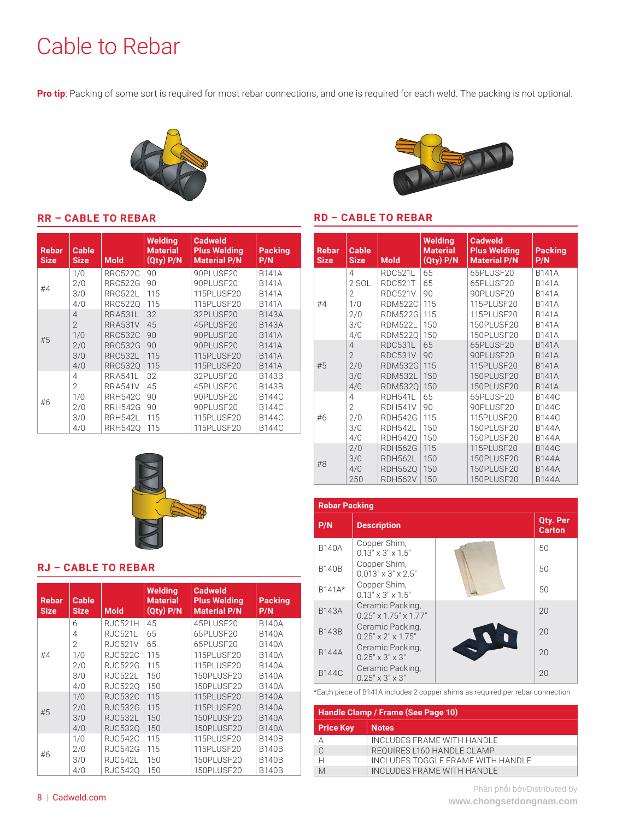## <span id="page-7-0"></span>Cable to Rebar

**RR – CABLE TO REBAR**

**Pro tip**: Packing of some sort is required for most rebar connections, and one is required for each weld. The packing is not optional.



#### **RD – CABLE TO REBAR**

#### **Rebar Size Cable Size Mold Welding Material (Qty) P/N Cadweld Plus Welding Material P/N Packing P/N** #4 1/0 RRC522C 90 90PLUSF20 B141A 2/0 | RRC522G | 90 | 90PLUSF20 | B141A 3/0 RRC522L 115 115PLUSF20 B141A<br>4/0 RRC5220 115 115PLUSF20 B141A 4/0 RRC522Q 115 115PLUSF20<br>4 RRA531L 32 32PLUSF20 #5 32 | 32PLUSF20 | B143A 2 | RRA531V | 45 | 45PLUSF20 | B143A 1/0 | RRC532C | 90 | 90PLUSF20 | B141A 2/0 RRC532G 90 90PLUSF20 B141A 3/0 | RRC532L | 115 | 115PLUSF20 | B141A 4/0 | RRC532Q | 115 | 115PLUSF20 | B141A #6 4 RRA541L 32 32PLUSF20 B143B<br>2 RRA541V 45 45PLUSF20 B143B 45 PLUSF20 | B143 B 1/0 | RRH542C | 90 | 90PLUSF20 | B144C 2/0 RRH542G 90 90PLUSF20 B144C 3/0 RRH542L 115 115PLUSF20 B144C 4/0 | RRH542Q | 115 | 115PLUSF20 | B144C





#### **RJ – CABLE TO REBAR**

| <b>Rebar</b><br><b>Size</b> | <b>Cable</b><br><b>Size</b> | <b>Mold</b>    | <b>Welding</b><br><b>Material</b><br>(Qty) P/N | <b>Cadweld</b><br><b>Plus Welding</b><br><b>Material P/N</b> | <b>Packing</b><br>P/N |
|-----------------------------|-----------------------------|----------------|------------------------------------------------|--------------------------------------------------------------|-----------------------|
|                             | 6                           | RJC521H        | 45                                             | 45PLUSF20                                                    | <b>B140A</b>          |
|                             | 4                           | RJC521L        | 65                                             | 65PLUSF20                                                    | <b>B140A</b>          |
|                             | 2                           | <b>RJC521V</b> | 65                                             | 65PLUSF20                                                    | <b>B140A</b>          |
| #4                          | 1/0                         | RJC522C        | 115                                            | 115PLUSF20                                                   | <b>B140A</b>          |
|                             | 2/0                         | <b>RJC522G</b> | 115                                            | 115PLUSE20                                                   | <b>B140A</b>          |
|                             | 3/0                         | RJC522L        | 150                                            | 150PLUSF20                                                   | <b>B140A</b>          |
|                             | 4/0                         | <b>RJC5220</b> | 150                                            | 150PLUSF20                                                   | <b>B140A</b>          |
|                             | 1/0                         | RJC532C        | 115                                            | 115PLUSF20                                                   | <b>B140A</b>          |
| #5                          | 2/0                         | RJC532G        | 115                                            | 115PLUSE20                                                   | <b>B140A</b>          |
|                             | 3/0                         | RJC532L        | 150                                            | 150PLUSE20                                                   | <b>B140A</b>          |
|                             | 4/0                         | <b>RJC5320</b> | 150                                            | 150PLUSF20                                                   | <b>B140A</b>          |
|                             | 1/0                         | <b>RJC542C</b> | 115                                            | 115PLUSF20                                                   | <b>B140B</b>          |
| #6                          | 2/0                         | <b>RJC542G</b> | 115                                            | 115PLUSF20                                                   | <b>B140B</b>          |
|                             | 3/0                         | RJC542L        | 150                                            | 150PLUSF20                                                   | <b>B140B</b>          |
|                             | 4/0                         | <b>RJC5420</b> | 150                                            | 150PLUSF20                                                   | <b>B140B</b>          |

| <b>Rebar Packing</b> |                                                       |  |                                  |  |
|----------------------|-------------------------------------------------------|--|----------------------------------|--|
| P/N                  | <b>Description</b>                                    |  | <b>Qty. Per</b><br><b>Carton</b> |  |
| <b>B140A</b>         | Copper Shim,<br>$0.13" \times 3" \times 1.5"$         |  | 50                               |  |
| <b>B140B</b>         | Copper Shim,<br>$0.013" \times 3" \times 2.5"$        |  | 50                               |  |
| B141A*               | Copper Shim,<br>$0.13" \times 3" \times 1.5"$         |  | 50                               |  |
| <b>B143A</b>         | Ceramic Packing.<br>$0.25" \times 1.75" \times 1.77"$ |  | 20                               |  |
| <b>B143B</b>         | Ceramic Packing,<br>$0.25" \times 2" \times 1.75"$    |  | 20                               |  |
| <b>B144A</b>         | Ceramic Packing,<br>$0.25" \times 3" \times 3"$       |  | 20                               |  |
| <b>B144C</b>         | Ceramic Packing,<br>$0.25" \times 3" \times 3"$       |  | 20                               |  |

\*Each piece of B141A includes 2 copper shims as required per rebar connection

| Handle Clamp / Frame (See Page 10) |                                   |  |
|------------------------------------|-----------------------------------|--|
| <b>Price Key</b>                   | <b>Notes</b>                      |  |
| А                                  | INCLUDES FRAME WITH HANDLE        |  |
| C                                  | REQUIRES L160 HANDLE CLAMP        |  |
| Н                                  | INCLUDES TOGGLE FRAME WITH HANDLE |  |
| M                                  | INCLUDES FRAME WITH HANDLE        |  |

#### 8 | [Cadweld.com](http://Cadweld.com)

Phân phối bởi/Distributed by **www.chongsetdongnam.com**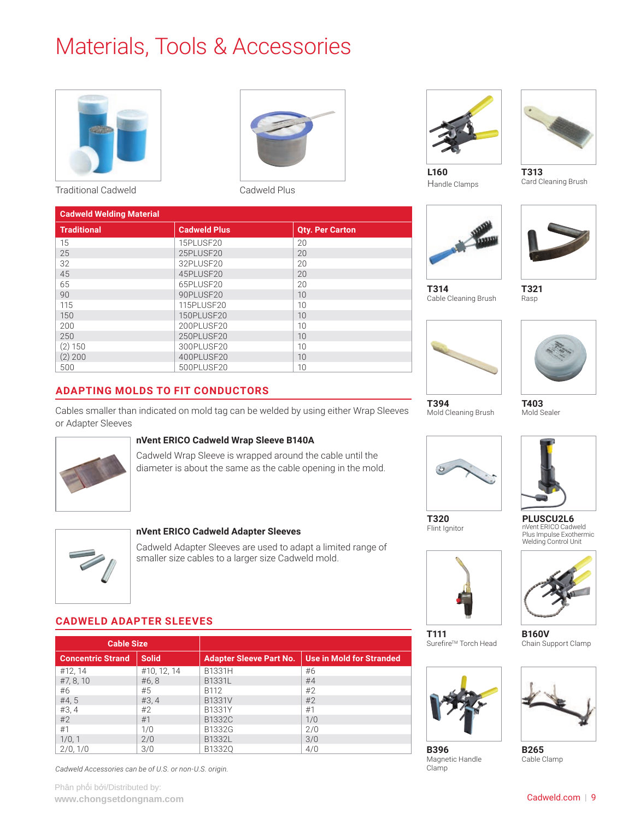## <span id="page-8-0"></span>Materials, Tools & Accessories



Traditional Cadweld Carrier Cadweld Plus





**L160** Handle Clamps



**T313** Card Cleaning Brush



**T314**



Cable Cleaning Brush

Rasp





**T403**



Flint Ignitor



**PLUSCU2L6**

**B160V** Chain Support Clamp



**B265** Cable Clamp

| <b>Cadweld Welding Material</b> |                     |                        |  |  |
|---------------------------------|---------------------|------------------------|--|--|
| <b>Traditional</b>              | <b>Cadweld Plus</b> | <b>Qty. Per Carton</b> |  |  |
| 15                              | 15PLUSF20           | 20                     |  |  |
| 25                              | 25PLUSF20           | 20                     |  |  |
| 32                              | 32PLUSF20           | 20                     |  |  |
| 45                              | 45PLUSF20           | 20                     |  |  |
| 65                              | 65PLUSF20           | 20                     |  |  |
| 90                              | 90PLUSF20           | 10                     |  |  |
| 115                             | 115PLUSF20          | 10                     |  |  |
| 150                             | 150PLUSF20          | 10                     |  |  |
| 200                             | 200PLUSF20          | 10                     |  |  |
| 250                             | 250PLUSF20          | 10                     |  |  |
| $(2)$ 150                       | 300PLUSF20          | 10                     |  |  |
| $(2)$ 200                       | 400PLUSF20          | 10                     |  |  |
| 500                             | 500PLUSF20          | 10                     |  |  |

### **ADAPTING MOLDS TO FIT CONDUCTORS**

Cables smaller than indicated on mold tag can be welded by using either Wrap Sleeves or Adapter Sleeves

#### **nVent ERICO Cadweld Wrap Sleeve B140A**

Cadweld Wrap Sleeve is wrapped around the cable until the diameter is about the same as the cable opening in the mold.



#### **nVent ERICO Cadweld Adapter Sleeves**

Cadweld Adapter Sleeves are used to adapt a limited range of smaller size cables to a larger size Cadweld mold.

#### **CADWELD ADAPTER SLEEVES**

| <b>Cable Size</b>        |              |                                |                                 |
|--------------------------|--------------|--------------------------------|---------------------------------|
| <b>Concentric Strand</b> | <b>Solid</b> | <b>Adapter Sleeve Part No.</b> | <b>Use in Mold for Stranded</b> |
| #12, 14                  | #10, 12, 14  | B1331H                         | #6                              |
| #7, 8, 10                | #6, 8        | B1331L                         | #4                              |
| #6                       | #5           | B112                           | #2                              |
| #4,5                     | #3, 4        | <b>B1331V</b>                  | #2                              |
| #3, 4                    | #2           | B1331Y                         | #1                              |
| #2                       | #1           | B1332C                         | 1/0                             |
| #1                       | 1/0          | B1332G                         | 2/0                             |
| 1/0, 1                   | 2/0          | B1332L                         | 3/0                             |
| 2/0, 1/0                 | 3/0          | B13320                         | 4/0                             |

*Cadweld Accessories can be of U.S. or non-U.S. origin.*



**T394** Mold Cleaning Brush



**T111**

**B396** Magnetic Handle Clamp

Surefire™ Torch Head



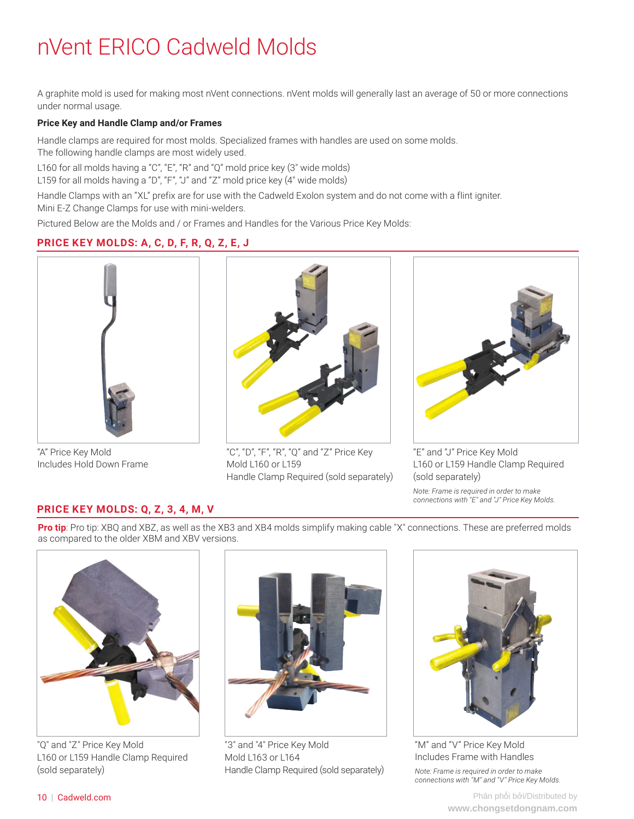## <span id="page-9-0"></span>nVent ERICO Cadweld Molds

A graphite mold is used for making most nVent connections. nVent molds will generally last an average of 50 or more connections under normal usage.

#### **Price Key and Handle Clamp and/or Frames**

Handle clamps are required for most molds. Specialized frames with handles are used on some molds. The following handle clamps are most widely used.

L160 for all molds having a "C", "E", "R" and "Q" mold price key (3" wide molds)

L159 for all molds having a "D", "F", "J" and "Z" mold price key (4" wide molds)

Handle Clamps with an "XL" prefix are for use with the Cadweld Exolon system and do not come with a flint igniter. Mini E-Z Change Clamps for use with mini-welders.

Pictured Below are the Molds and / or Frames and Handles for the Various Price Key Molds:

#### **PRICE KEY MOLDS: A, C, D, F, R, Q, Z, E, J**



"A" Price Key Mold Includes Hold Down Frame



"C", "D", "F", "R", "Q" and "Z" Price Key Mold L160 or L159 Handle Clamp Required (sold separately)



"E" and "J" Price Key Mold L160 or L159 Handle Clamp Required (sold separately) *Note: Frame is required in order to make connections with "E" and "J" Price Key Molds.*

#### **PRICE KEY MOLDS: Q, Z, 3, 4, M, V**

**Pro tip**: Pro tip: XBQ and XBZ, as well as the XB3 and XB4 molds simplify making cable "X" connections. These are preferred molds as compared to the older XBM and XBV versions.



"Q" and "Z" Price Key Mold L160 or L159 Handle Clamp Required (sold separately)



"3" and "4" Price Key Mold Mold L163 or L164 Handle Clamp Required (sold separately)



"M" and "V" Price Key Mold Includes Frame with Handles *Note: Frame is required in order to make connections with "M" and "V" Price Key Molds.*